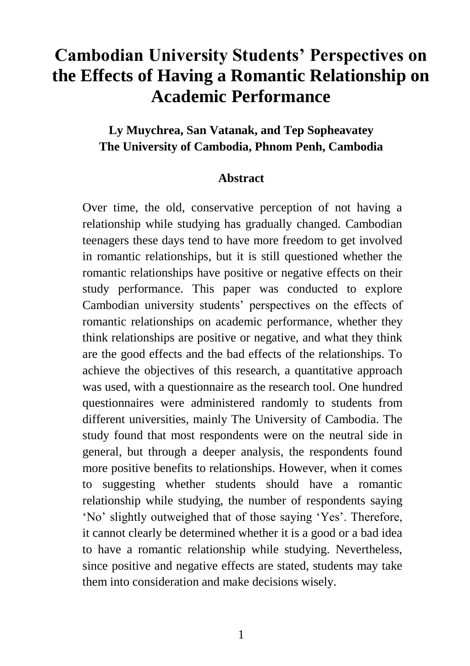# **Cambodian University Students' Perspectives on the Effects of Having a Romantic Relationship on Academic Performance**

# **Ly Muychrea, San Vatanak, and Tep Sopheavatey The University of Cambodia, Phnom Penh, Cambodia**

#### **Abstract**

Over time, the old, conservative perception of not having a relationship while studying has gradually changed. Cambodian teenagers these days tend to have more freedom to get involved in romantic relationships, but it is still questioned whether the romantic relationships have positive or negative effects on their study performance. This paper was conducted to explore Cambodian university students' perspectives on the effects of romantic relationships on academic performance, whether they think relationships are positive or negative, and what they think are the good effects and the bad effects of the relationships. To achieve the objectives of this research, a quantitative approach was used, with a questionnaire as the research tool. One hundred questionnaires were administered randomly to students from different universities, mainly The University of Cambodia. The study found that most respondents were on the neutral side in general, but through a deeper analysis, the respondents found more positive benefits to relationships. However, when it comes to suggesting whether students should have a romantic relationship while studying, the number of respondents saying 'No' slightly outweighed that of those saying 'Yes'. Therefore, it cannot clearly be determined whether it is a good or a bad idea to have a romantic relationship while studying. Nevertheless, since positive and negative effects are stated, students may take them into consideration and make decisions wisely.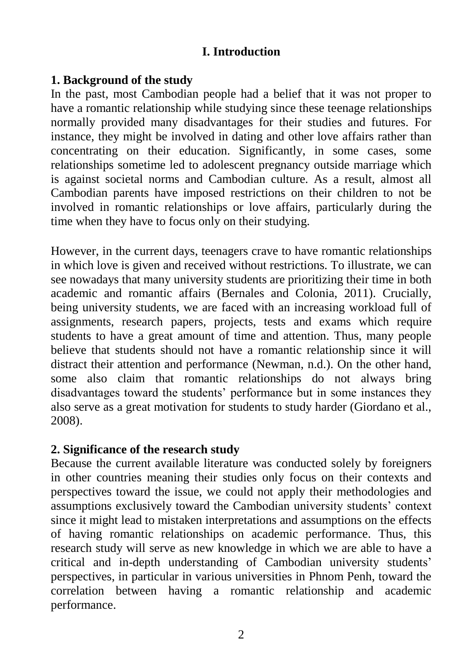## **I. Introduction**

### **1. Background of the study**

In the past, most Cambodian people had a belief that it was not proper to have a romantic relationship while studying since these teenage relationships normally provided many disadvantages for their studies and futures. For instance, they might be involved in dating and other love affairs rather than concentrating on their education. Significantly, in some cases, some relationships sometime led to adolescent pregnancy outside marriage which is against societal norms and Cambodian culture. As a result, almost all Cambodian parents have imposed restrictions on their children to not be involved in romantic relationships or love affairs, particularly during the time when they have to focus only on their studying.

However, in the current days, teenagers crave to have romantic relationships in which love is given and received without restrictions. To illustrate, we can see nowadays that many university students are prioritizing their time in both academic and romantic affairs (Bernales and Colonia, 2011). Crucially, being university students, we are faced with an increasing workload full of assignments, research papers, projects, tests and exams which require students to have a great amount of time and attention. Thus, many people believe that students should not have a romantic relationship since it will distract their attention and performance (Newman, n.d.). On the other hand, some also claim that romantic relationships do not always bring disadvantages toward the students' performance but in some instances they also serve as a great motivation for students to study harder (Giordano et al., 2008).

### **2. Significance of the research study**

Because the current available literature was conducted solely by foreigners in other countries meaning their studies only focus on their contexts and perspectives toward the issue, we could not apply their methodologies and assumptions exclusively toward the Cambodian university students' context since it might lead to mistaken interpretations and assumptions on the effects of having romantic relationships on academic performance. Thus, this research study will serve as new knowledge in which we are able to have a critical and in-depth understanding of Cambodian university students' perspectives, in particular in various universities in Phnom Penh, toward the correlation between having a romantic relationship and academic performance.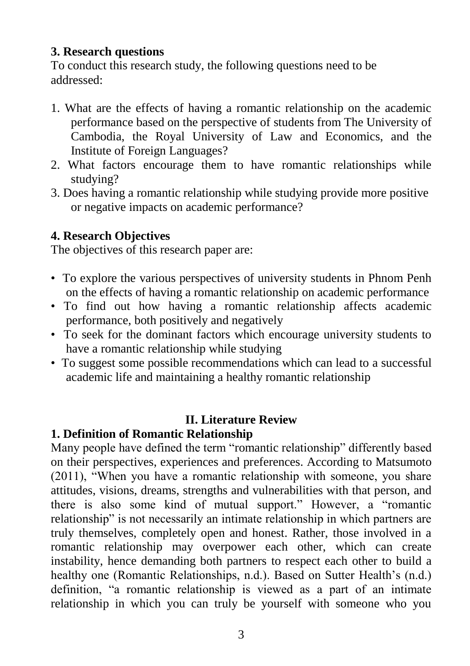## **3. Research questions**

To conduct this research study, the following questions need to be addressed:

- 1. What are the effects of having a romantic relationship on the academic performance based on the perspective of students from The University of Cambodia, the Royal University of Law and Economics, and the Institute of Foreign Languages?
- 2. What factors encourage them to have romantic relationships while studying?
- 3. Does having a romantic relationship while studying provide more positive or negative impacts on academic performance?

# **4. Research Objectives**

The objectives of this research paper are:

- To explore the various perspectives of university students in Phnom Penh on the effects of having a romantic relationship on academic performance
- To find out how having a romantic relationship affects academic performance, both positively and negatively
- To seek for the dominant factors which encourage university students to have a romantic relationship while studying
- To suggest some possible recommendations which can lead to a successful academic life and maintaining a healthy romantic relationship

# **II. Literature Review**

# **1. Definition of Romantic Relationship**

Many people have defined the term "romantic relationship" differently based on their perspectives, experiences and preferences. According to Matsumoto (2011), "When you have a romantic relationship with someone, you share attitudes, visions, dreams, strengths and vulnerabilities with that person, and there is also some kind of mutual support." However, a "romantic relationship" is not necessarily an intimate relationship in which partners are truly themselves, completely open and honest. Rather, those involved in a romantic relationship may overpower each other, which can create instability, hence demanding both partners to respect each other to build a healthy one (Romantic Relationships, n.d.). Based on Sutter Health's (n.d.) definition, "a romantic relationship is viewed as a part of an intimate relationship in which you can truly be yourself with someone who you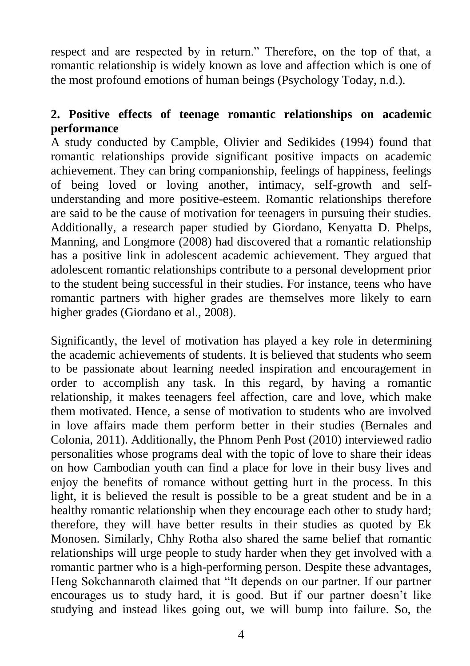respect and are respected by in return." Therefore, on the top of that, a romantic relationship is widely known as love and affection which is one of the most profound emotions of human beings (Psychology Today, n.d.).

# **2. Positive effects of teenage romantic relationships on academic performance**

A study conducted by Campble, Olivier and Sedikides (1994) found that romantic relationships provide significant positive impacts on academic achievement. They can bring companionship, feelings of happiness, feelings of being loved or loving another, intimacy, self-growth and selfunderstanding and more positive-esteem. Romantic relationships therefore are said to be the cause of motivation for teenagers in pursuing their studies. Additionally, a research paper studied by Giordano, Kenyatta D. Phelps, Manning, and Longmore (2008) had discovered that a romantic relationship has a positive link in adolescent academic achievement. They argued that adolescent romantic relationships contribute to a personal development prior to the student being successful in their studies. For instance, teens who have romantic partners with higher grades are themselves more likely to earn higher grades (Giordano et al., 2008).

Significantly, the level of motivation has played a key role in determining the academic achievements of students. It is believed that students who seem to be passionate about learning needed inspiration and encouragement in order to accomplish any task. In this regard, by having a romantic relationship, it makes teenagers feel affection, care and love, which make them motivated. Hence, a sense of motivation to students who are involved in love affairs made them perform better in their studies (Bernales and Colonia, 2011). Additionally, the Phnom Penh Post (2010) interviewed radio personalities whose programs deal with the topic of love to share their ideas on how Cambodian youth can find a place for love in their busy lives and enjoy the benefits of romance without getting hurt in the process. In this light, it is believed the result is possible to be a great student and be in a healthy romantic relationship when they encourage each other to study hard; therefore, they will have better results in their studies as quoted by Ek Monosen. Similarly, Chhy Rotha also shared the same belief that romantic relationships will urge people to study harder when they get involved with a romantic partner who is a high-performing person. Despite these advantages, Heng Sokchannaroth claimed that "It depends on our partner. If our partner encourages us to study hard, it is good. But if our partner doesn't like studying and instead likes going out, we will bump into failure. So, the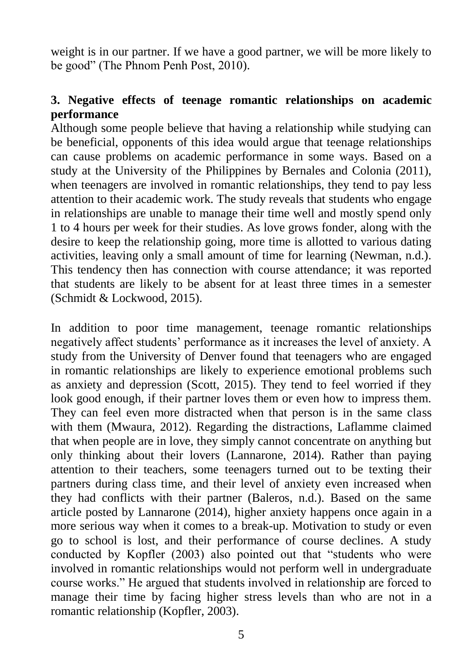weight is in our partner. If we have a good partner, we will be more likely to be good" (The Phnom Penh Post, 2010).

## **3. Negative effects of teenage romantic relationships on academic performance**

Although some people believe that having a relationship while studying can be beneficial, opponents of this idea would argue that teenage relationships can cause problems on academic performance in some ways. Based on a study at the University of the Philippines by Bernales and Colonia (2011), when teenagers are involved in romantic relationships, they tend to pay less attention to their academic work. The study reveals that students who engage in relationships are unable to manage their time well and mostly spend only 1 to 4 hours per week for their studies. As love grows fonder, along with the desire to keep the relationship going, more time is allotted to various dating activities, leaving only a small amount of time for learning (Newman, n.d.). This tendency then has connection with course attendance; it was reported that students are likely to be absent for at least three times in a semester (Schmidt & Lockwood, 2015).

In addition to poor time management, teenage romantic relationships negatively affect students' performance as it increases the level of anxiety. A study from the University of Denver found that teenagers who are engaged in romantic relationships are likely to experience emotional problems such as anxiety and depression (Scott, 2015). They tend to feel worried if they look good enough, if their partner loves them or even how to impress them. They can feel even more distracted when that person is in the same class with them (Mwaura, 2012). Regarding the distractions, Laflamme claimed that when people are in love, they simply cannot concentrate on anything but only thinking about their lovers (Lannarone, 2014). Rather than paying attention to their teachers, some teenagers turned out to be texting their partners during class time, and their level of anxiety even increased when they had conflicts with their partner (Baleros, n.d.). Based on the same article posted by Lannarone (2014), higher anxiety happens once again in a more serious way when it comes to a break-up. Motivation to study or even go to school is lost, and their performance of course declines. A study conducted by Kopfler (2003) also pointed out that "students who were involved in romantic relationships would not perform well in undergraduate course works." He argued that students involved in relationship are forced to manage their time by facing higher stress levels than who are not in a romantic relationship (Kopfler, 2003).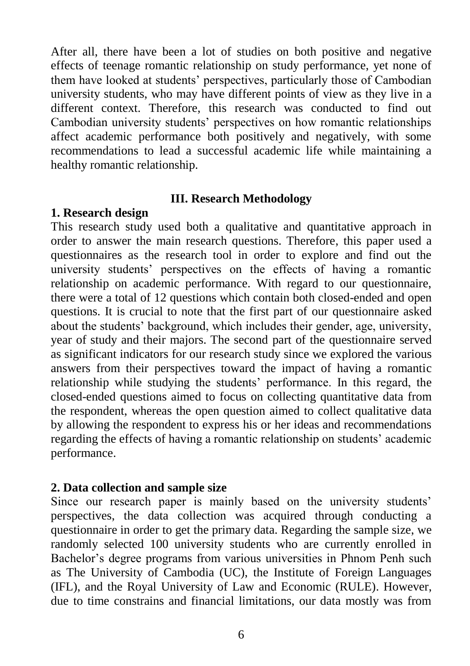After all, there have been a lot of studies on both positive and negative effects of teenage romantic relationship on study performance, yet none of them have looked at students' perspectives, particularly those of Cambodian university students, who may have different points of view as they live in a different context. Therefore, this research was conducted to find out Cambodian university students' perspectives on how romantic relationships affect academic performance both positively and negatively, with some recommendations to lead a successful academic life while maintaining a healthy romantic relationship.

#### **III. Research Methodology**

#### **1. Research design**

This research study used both a qualitative and quantitative approach in order to answer the main research questions. Therefore, this paper used a questionnaires as the research tool in order to explore and find out the university students' perspectives on the effects of having a romantic relationship on academic performance. With regard to our questionnaire, there were a total of 12 questions which contain both closed-ended and open questions. It is crucial to note that the first part of our questionnaire asked about the students' background, which includes their gender, age, university, year of study and their majors. The second part of the questionnaire served as significant indicators for our research study since we explored the various answers from their perspectives toward the impact of having a romantic relationship while studying the students' performance. In this regard, the closed-ended questions aimed to focus on collecting quantitative data from the respondent, whereas the open question aimed to collect qualitative data by allowing the respondent to express his or her ideas and recommendations regarding the effects of having a romantic relationship on students' academic performance.

### **2. Data collection and sample size**

Since our research paper is mainly based on the university students' perspectives, the data collection was acquired through conducting a questionnaire in order to get the primary data. Regarding the sample size, we randomly selected 100 university students who are currently enrolled in Bachelor's degree programs from various universities in Phnom Penh such as The University of Cambodia (UC), the Institute of Foreign Languages (IFL), and the Royal University of Law and Economic (RULE). However, due to time constrains and financial limitations, our data mostly was from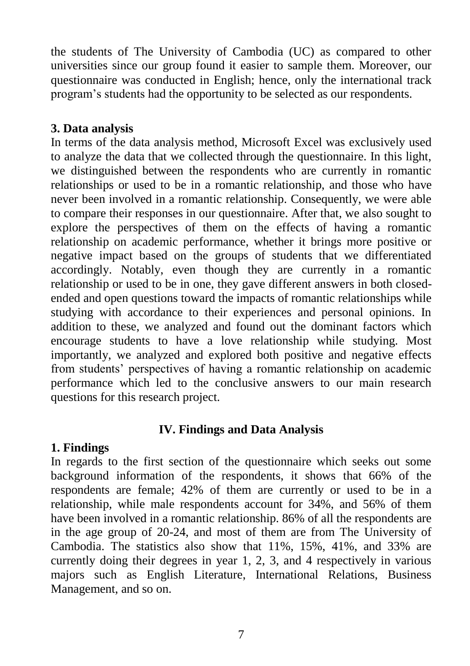the students of The University of Cambodia (UC) as compared to other universities since our group found it easier to sample them. Moreover, our questionnaire was conducted in English; hence, only the international track program's students had the opportunity to be selected as our respondents.

## **3. Data analysis**

In terms of the data analysis method, Microsoft Excel was exclusively used to analyze the data that we collected through the questionnaire. In this light, we distinguished between the respondents who are currently in romantic relationships or used to be in a romantic relationship, and those who have never been involved in a romantic relationship. Consequently, we were able to compare their responses in our questionnaire. After that, we also sought to explore the perspectives of them on the effects of having a romantic relationship on academic performance, whether it brings more positive or negative impact based on the groups of students that we differentiated accordingly. Notably, even though they are currently in a romantic relationship or used to be in one, they gave different answers in both closedended and open questions toward the impacts of romantic relationships while studying with accordance to their experiences and personal opinions. In addition to these, we analyzed and found out the dominant factors which encourage students to have a love relationship while studying. Most importantly, we analyzed and explored both positive and negative effects from students' perspectives of having a romantic relationship on academic performance which led to the conclusive answers to our main research questions for this research project.

# **IV. Findings and Data Analysis**

# **1. Findings**

In regards to the first section of the questionnaire which seeks out some background information of the respondents, it shows that 66% of the respondents are female; 42% of them are currently or used to be in a relationship, while male respondents account for 34%, and 56% of them have been involved in a romantic relationship. 86% of all the respondents are in the age group of 20-24, and most of them are from The University of Cambodia. The statistics also show that 11%, 15%, 41%, and 33% are currently doing their degrees in year 1, 2, 3, and 4 respectively in various majors such as English Literature, International Relations, Business Management, and so on.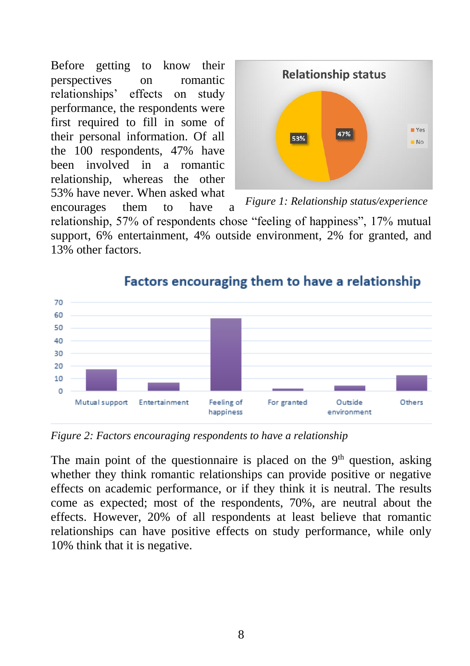Before getting to know their perspectives on romantic relationships' effects on study performance, the respondents were first required to fill in some of their personal information. Of all the 100 respondents, 47% have been involved in a romantic relationship, whereas the other 53% have never. When asked what encourages them to have a



*Figure 1: Relationship status/experience*

relationship, 57% of respondents chose "feeling of happiness", 17% mutual support, 6% entertainment, 4% outside environment, 2% for granted, and 13% other factors.



# Factors encouraging them to have a relationship

*Figure 2: Factors encouraging respondents to have a relationship*

The main point of the questionnaire is placed on the  $9<sup>th</sup>$  question, asking whether they think romantic relationships can provide positive or negative effects on academic performance, or if they think it is neutral. The results come as expected; most of the respondents, 70%, are neutral about the effects. However, 20% of all respondents at least believe that romantic relationships can have positive effects on study performance, while only 10% think that it is negative.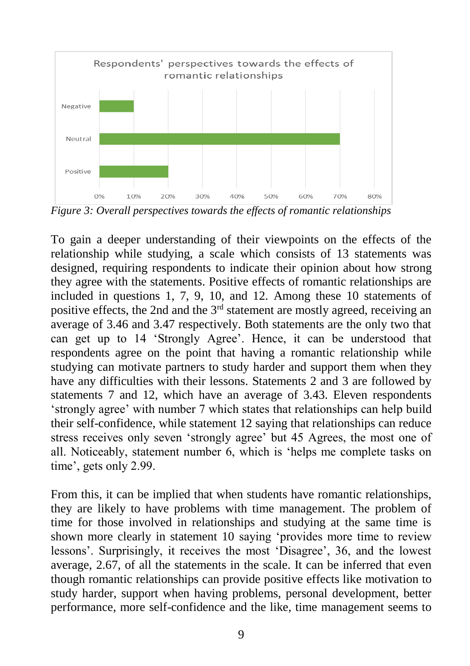

*Figure 3: Overall perspectives towards the effects of romantic relationships*

To gain a deeper understanding of their viewpoints on the effects of the relationship while studying, a scale which consists of 13 statements was designed, requiring respondents to indicate their opinion about how strong they agree with the statements. Positive effects of romantic relationships are included in questions 1, 7, 9, 10, and 12. Among these 10 statements of positive effects, the 2nd and the 3<sup>rd</sup> statement are mostly agreed, receiving an average of 3.46 and 3.47 respectively. Both statements are the only two that can get up to 14 'Strongly Agree'. Hence, it can be understood that respondents agree on the point that having a romantic relationship while studying can motivate partners to study harder and support them when they have any difficulties with their lessons. Statements 2 and 3 are followed by statements 7 and 12, which have an average of 3.43. Eleven respondents 'strongly agree' with number 7 which states that relationships can help build their self-confidence, while statement 12 saying that relationships can reduce stress receives only seven 'strongly agree' but 45 Agrees, the most one of all. Noticeably, statement number 6, which is 'helps me complete tasks on time', gets only 2.99.

From this, it can be implied that when students have romantic relationships, they are likely to have problems with time management. The problem of time for those involved in relationships and studying at the same time is shown more clearly in statement 10 saying 'provides more time to review lessons'. Surprisingly, it receives the most 'Disagree', 36, and the lowest average, 2.67, of all the statements in the scale. It can be inferred that even though romantic relationships can provide positive effects like motivation to study harder, support when having problems, personal development, better performance, more self-confidence and the like, time management seems to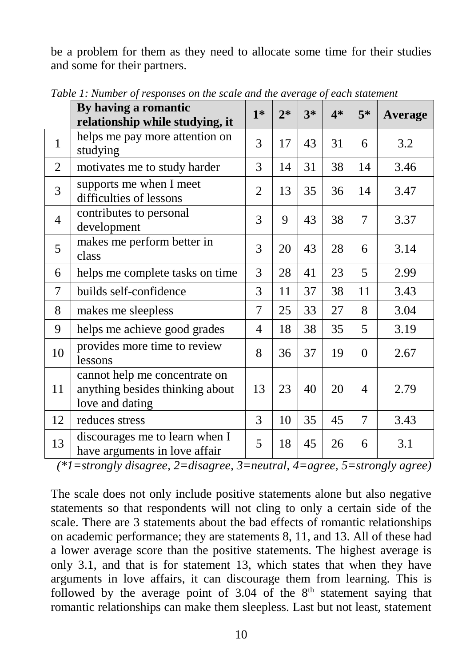be a problem for them as they need to allocate some time for their studies and some for their partners.

|                | By having a romantic<br>relationship while studying, it                             | $1*$           | $2*$ | $3*$ | $4*$ | $5*$     | Average |
|----------------|-------------------------------------------------------------------------------------|----------------|------|------|------|----------|---------|
| 1              | helps me pay more attention on<br>studying                                          | 3              | 17   | 43   | 31   | 6        | 3.2     |
| 2              | motivates me to study harder                                                        | 3              | 14   | 31   | 38   | 14       | 3.46    |
| 3              | supports me when I meet<br>difficulties of lessons                                  | $\overline{2}$ | 13   | 35   | 36   | 14       | 3.47    |
| $\overline{4}$ | contributes to personal<br>development                                              | 3              | 9    | 43   | 38   | 7        | 3.37    |
| 5              | makes me perform better in<br>class                                                 | 3              | 20   | 43   | 28   | 6        | 3.14    |
| 6              | helps me complete tasks on time                                                     | 3              | 28   | 41   | 23   | 5        | 2.99    |
| $\overline{7}$ | builds self-confidence                                                              | 3              | 11   | 37   | 38   | 11       | 3.43    |
| 8              | makes me sleepless                                                                  | 7              | 25   | 33   | 27   | 8        | 3.04    |
| 9              | helps me achieve good grades                                                        | 4              | 18   | 38   | 35   | 5        | 3.19    |
| 10             | provides more time to review<br>lessons                                             | 8              | 36   | 37   | 19   | $\Omega$ | 2.67    |
| 11             | cannot help me concentrate on<br>anything besides thinking about<br>love and dating | 13             | 23   | 40   | 20   | 4        | 2.79    |
| 12             | reduces stress                                                                      | 3              | 10   | 35   | 45   | 7        | 3.43    |
| 13             | discourages me to learn when I<br>have arguments in love affair                     | 5              | 18   | 45   | 26   | 6        | 3.1     |

*Table 1: Number of responses on the scale and the average of each statement*

*(\*1=strongly disagree, 2=disagree, 3=neutral, 4=agree, 5=strongly agree)*

The scale does not only include positive statements alone but also negative statements so that respondents will not cling to only a certain side of the scale. There are 3 statements about the bad effects of romantic relationships on academic performance; they are statements 8, 11, and 13. All of these had a lower average score than the positive statements. The highest average is only 3.1, and that is for statement 13, which states that when they have arguments in love affairs, it can discourage them from learning. This is followed by the average point of  $3.04$  of the  $8<sup>th</sup>$  statement saying that romantic relationships can make them sleepless. Last but not least, statement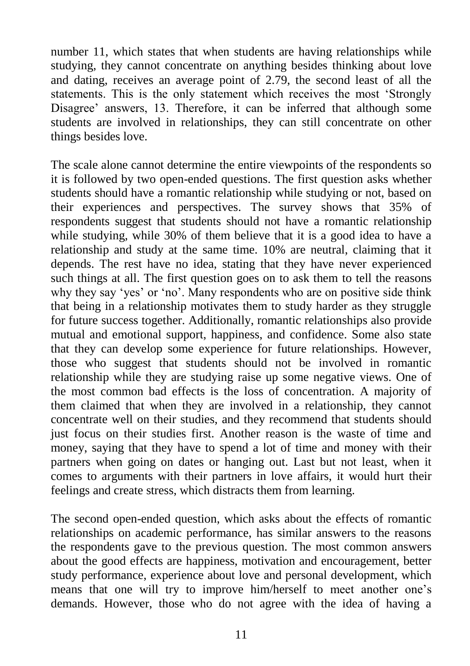number 11, which states that when students are having relationships while studying, they cannot concentrate on anything besides thinking about love and dating, receives an average point of 2.79, the second least of all the statements. This is the only statement which receives the most 'Strongly Disagree' answers, 13. Therefore, it can be inferred that although some students are involved in relationships, they can still concentrate on other things besides love.

The scale alone cannot determine the entire viewpoints of the respondents so it is followed by two open-ended questions. The first question asks whether students should have a romantic relationship while studying or not, based on their experiences and perspectives. The survey shows that 35% of respondents suggest that students should not have a romantic relationship while studying, while 30% of them believe that it is a good idea to have a relationship and study at the same time. 10% are neutral, claiming that it depends. The rest have no idea, stating that they have never experienced such things at all. The first question goes on to ask them to tell the reasons why they say 'yes' or 'no'. Many respondents who are on positive side think that being in a relationship motivates them to study harder as they struggle for future success together. Additionally, romantic relationships also provide mutual and emotional support, happiness, and confidence. Some also state that they can develop some experience for future relationships. However, those who suggest that students should not be involved in romantic relationship while they are studying raise up some negative views. One of the most common bad effects is the loss of concentration. A majority of them claimed that when they are involved in a relationship, they cannot concentrate well on their studies, and they recommend that students should just focus on their studies first. Another reason is the waste of time and money, saying that they have to spend a lot of time and money with their partners when going on dates or hanging out. Last but not least, when it comes to arguments with their partners in love affairs, it would hurt their feelings and create stress, which distracts them from learning.

The second open-ended question, which asks about the effects of romantic relationships on academic performance, has similar answers to the reasons the respondents gave to the previous question. The most common answers about the good effects are happiness, motivation and encouragement, better study performance, experience about love and personal development, which means that one will try to improve him/herself to meet another one's demands. However, those who do not agree with the idea of having a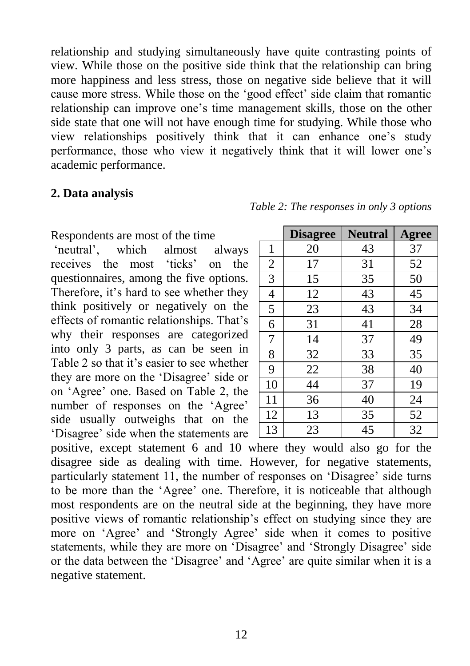relationship and studying simultaneously have quite contrasting points of view. While those on the positive side think that the relationship can bring more happiness and less stress, those on negative side believe that it will cause more stress. While those on the 'good effect' side claim that romantic relationship can improve one's time management skills, those on the other side state that one will not have enough time for studying. While those who view relationships positively think that it can enhance one's study performance, those who view it negatively think that it will lower one's academic performance.

#### **2. Data analysis**

Respondents are most of the time

'neutral', which almost always receives the most 'ticks' on the questionnaires, among the five options. Therefore, it's hard to see whether they think positively or negatively on the effects of romantic relationships. That's why their responses are categorized into only 3 parts, as can be seen in Table 2 so that it's easier to see whether they are more on the 'Disagree' side or on 'Agree' one. Based on Table 2, the number of responses on the 'Agree' side usually outweighs that on the 'Disagree' side when the statements are

|                | <b>Disagree</b> | <b>Neutral</b> | <b>Agree</b> |
|----------------|-----------------|----------------|--------------|
| $\mathbf{1}$   | 20              | 43             | 37           |
| $\overline{2}$ | 17              | 31             | 52           |
| 3              | 15              | 35             | 50           |
| $\overline{4}$ | 12              | 43             | 45           |
| 5              | 23              | 43             | 34           |
| 6              | 31              | 41             | 28           |
| 7              | 14              | 37             | 49           |
| 8              | 32              | 33             | 35           |
| 9              | 22              | 38             | 40           |
| 10             | 44              | 37             | 19           |
| 11             | 36              | 40             | 24           |
| 12             | 13              | 35             | 52           |
| 13             | 23              | 45             | 32           |

*Table 2: The responses in only 3 options*

positive, except statement 6 and 10 where they would also go for the disagree side as dealing with time. However, for negative statements, particularly statement 11, the number of responses on 'Disagree' side turns to be more than the 'Agree' one. Therefore, it is noticeable that although most respondents are on the neutral side at the beginning, they have more positive views of romantic relationship's effect on studying since they are more on 'Agree' and 'Strongly Agree' side when it comes to positive statements, while they are more on 'Disagree' and 'Strongly Disagree' side or the data between the 'Disagree' and 'Agree' are quite similar when it is a negative statement.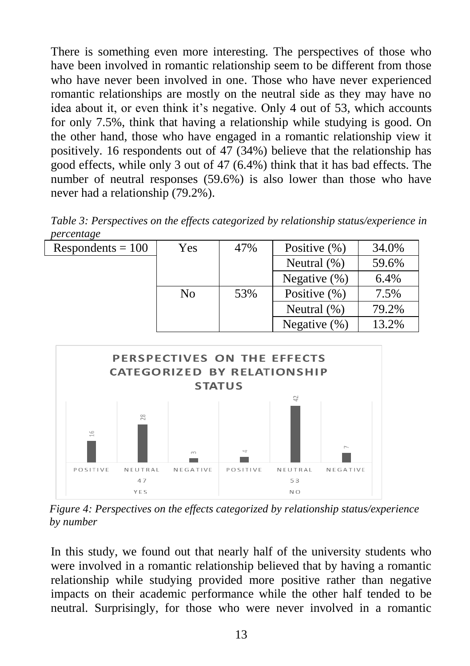There is something even more interesting. The perspectives of those who have been involved in romantic relationship seem to be different from those who have never been involved in one. Those who have never experienced romantic relationships are mostly on the neutral side as they may have no idea about it, or even think it's negative. Only 4 out of 53, which accounts for only 7.5%, think that having a relationship while studying is good. On the other hand, those who have engaged in a romantic relationship view it positively. 16 respondents out of 47 (34%) believe that the relationship has good effects, while only 3 out of 47 (6.4%) think that it has bad effects. The number of neutral responses (59.6%) is also lower than those who have never had a relationship (79.2%).

*Table 3: Perspectives on the effects categorized by relationship status/experience in percentage*

| $Respondents = 100$ | Yes | 47% | Positive $(\% )$ | 34.0% |
|---------------------|-----|-----|------------------|-------|
|                     |     |     | Neutral $(\%)$   | 59.6% |
|                     |     |     | Negative $(\%)$  | 6.4%  |
|                     | No  | 53% | Positive (%)     | 7.5%  |
|                     |     |     | Neutral $(\%)$   | 79.2% |
|                     |     |     | Negative $(\%)$  | 13.2% |



**V. Discussion** *Figure 4: Perspectives on the effects categorized by relationship status/experience by number*

In this study, we found out that nearly half of the university students who were involved in a romantic relationship believed that by having a romantic relationship while studying provided more positive rather than negative impacts on their academic performance while the other half tended to be neutral. Surprisingly, for those who were never involved in a romantic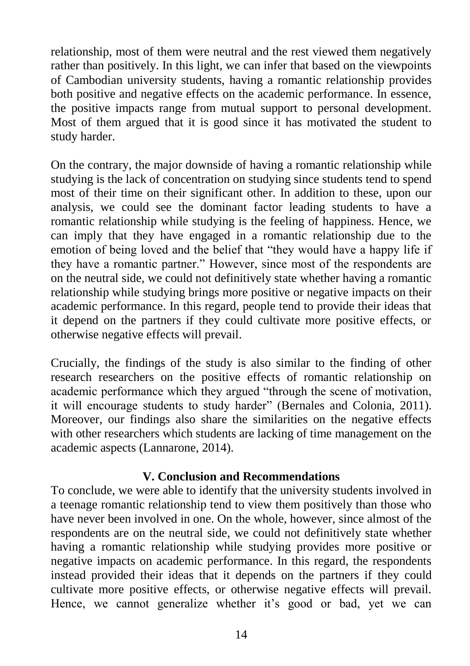relationship, most of them were neutral and the rest viewed them negatively rather than positively. In this light, we can infer that based on the viewpoints of Cambodian university students, having a romantic relationship provides both positive and negative effects on the academic performance. In essence, the positive impacts range from mutual support to personal development. Most of them argued that it is good since it has motivated the student to study harder.

On the contrary, the major downside of having a romantic relationship while studying is the lack of concentration on studying since students tend to spend most of their time on their significant other. In addition to these, upon our analysis, we could see the dominant factor leading students to have a romantic relationship while studying is the feeling of happiness. Hence, we can imply that they have engaged in a romantic relationship due to the emotion of being loved and the belief that "they would have a happy life if they have a romantic partner." However, since most of the respondents are on the neutral side, we could not definitively state whether having a romantic relationship while studying brings more positive or negative impacts on their academic performance. In this regard, people tend to provide their ideas that it depend on the partners if they could cultivate more positive effects, or otherwise negative effects will prevail.

Crucially, the findings of the study is also similar to the finding of other research researchers on the positive effects of romantic relationship on academic performance which they argued "through the scene of motivation, it will encourage students to study harder" (Bernales and Colonia, 2011). Moreover, our findings also share the similarities on the negative effects with other researchers which students are lacking of time management on the academic aspects (Lannarone, 2014).

#### **V. Conclusion and Recommendations**

To conclude, we were able to identify that the university students involved in a teenage romantic relationship tend to view them positively than those who have never been involved in one. On the whole, however, since almost of the respondents are on the neutral side, we could not definitively state whether having a romantic relationship while studying provides more positive or negative impacts on academic performance. In this regard, the respondents instead provided their ideas that it depends on the partners if they could cultivate more positive effects, or otherwise negative effects will prevail. Hence, we cannot generalize whether it's good or bad, yet we can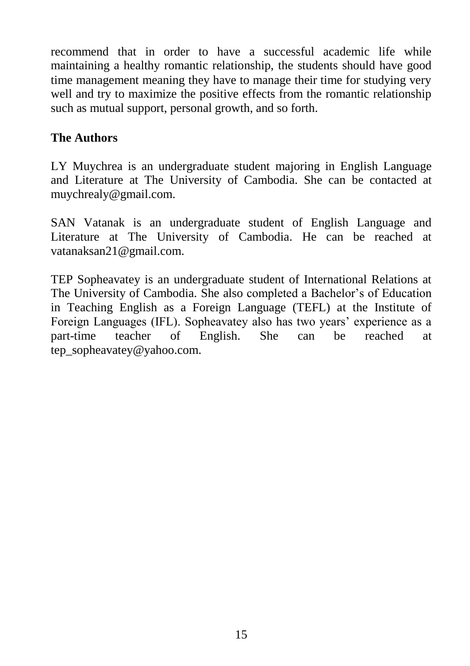recommend that in order to have a successful academic life while maintaining a healthy romantic relationship, the students should have good time management meaning they have to manage their time for studying very well and try to maximize the positive effects from the romantic relationship such as mutual support, personal growth, and so forth.

## **The Authors**

LY Muychrea is an undergraduate student majoring in English Language and Literature at The University of Cambodia. She can be contacted at muychrealy@gmail.com.

SAN Vatanak is an undergraduate student of English Language and Literature at The University of Cambodia. He can be reached at vatanaksan21@gmail.com.

TEP Sopheavatey is an undergraduate student of International Relations at The University of Cambodia. She also completed a Bachelor's of Education in Teaching English as a Foreign Language (TEFL) at the Institute of Foreign Languages (IFL). Sopheavatey also has two years' experience as a part-time teacher of English. She can be reached at tep\_sopheavatey@yahoo.com.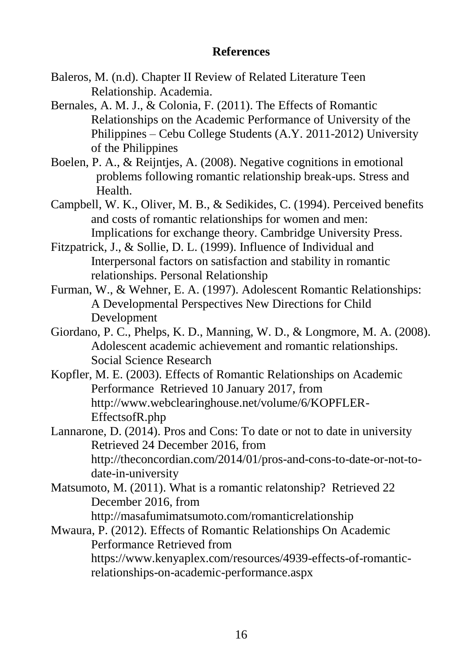### **References**

- Baleros, M. (n.d). Chapter II Review of Related Literature Teen Relationship. Academia.
- Bernales, A. M. J., & Colonia, F. (2011). The Effects of Romantic Relationships on the Academic Performance of University of the Philippines – Cebu College Students (A.Y. 2011-2012) University of the Philippines
- Boelen, P. A., & Reijntjes, A. (2008). Negative cognitions in emotional problems following romantic relationship break-ups. Stress and Health.
- Campbell, W. K., Oliver, M. B., & Sedikides, C. (1994). Perceived benefits and costs of romantic relationships for women and men: Implications for exchange theory. Cambridge University Press.
- Fitzpatrick, J., & Sollie, D. L. (1999). Influence of Individual and Interpersonal factors on satisfaction and stability in romantic relationships. Personal Relationship
- Furman, W., & Wehner, E. A. (1997). Adolescent Romantic Relationships: A Developmental Perspectives New Directions for Child Development
- Giordano, P. C., Phelps, K. D., Manning, W. D., & Longmore, M. A. (2008). Adolescent academic achievement and romantic relationships. Social Science Research
- Kopfler, M. E. (2003). Effects of Romantic Relationships on Academic Performance Retrieved 10 January 2017, from http://www.webclearinghouse.net/volume/6/KOPFLER-EffectsofR.php
- Lannarone, D. (2014). Pros and Cons: To date or not to date in university Retrieved 24 December 2016, from http://theconcordian.com/2014/01/pros-and-cons-to-date-or-not-todate-in-university
- Matsumoto, M. (2011). What is a romantic relatonship? Retrieved 22 December 2016, from

http://masafumimatsumoto.com/romanticrelationship

Mwaura, P. (2012). Effects of Romantic Relationships On Academic Performance Retrieved from https://www.kenyaplex.com/resources/4939-effects-of-romanticrelationships-on-academic-performance.aspx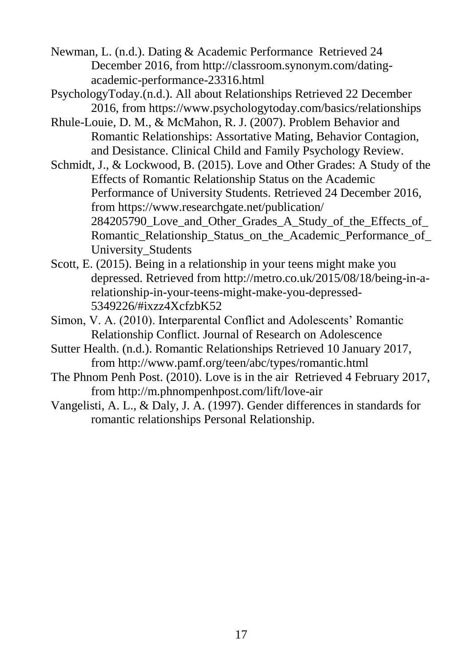Newman, L. (n.d.). Dating & Academic Performance Retrieved 24 December 2016, from http://classroom.synonym.com/datingacademic-performance-23316.html

PsychologyToday.(n.d.). All about Relationships Retrieved 22 December 2016, from https://www.psychologytoday.com/basics/relationships

- Rhule-Louie, D. M., & McMahon, R. J. (2007). Problem Behavior and Romantic Relationships: Assortative Mating, Behavior Contagion, and Desistance. Clinical Child and Family Psychology Review.
- Schmidt, J., & Lockwood, B. (2015). Love and Other Grades: A Study of the Effects of Romantic Relationship Status on the Academic Performance of University Students. Retrieved 24 December 2016, from https://www.researchgate.net/publication/ 284205790 Love and Other Grades A Study of the Effects of Romantic Relationship Status on the Academic Performance of University\_Students
- Scott, E. (2015). Being in a relationship in your teens might make you depressed. Retrieved from http://metro.co.uk/2015/08/18/being-in-arelationship-in-your-teens-might-make-you-depressed-5349226/#ixzz4XcfzbK52
- Simon, V. A. (2010). Interparental Conflict and Adolescents' Romantic Relationship Conflict. Journal of Research on Adolescence
- Sutter Health. (n.d.). Romantic Relationships Retrieved 10 January 2017, from http://www.pamf.org/teen/abc/types/romantic.html
- The Phnom Penh Post. (2010). Love is in the air Retrieved 4 February 2017, from http://m.phnompenhpost.com/lift/love-air
- Vangelisti, A. L., & Daly, J. A. (1997). Gender differences in standards for romantic relationships Personal Relationship.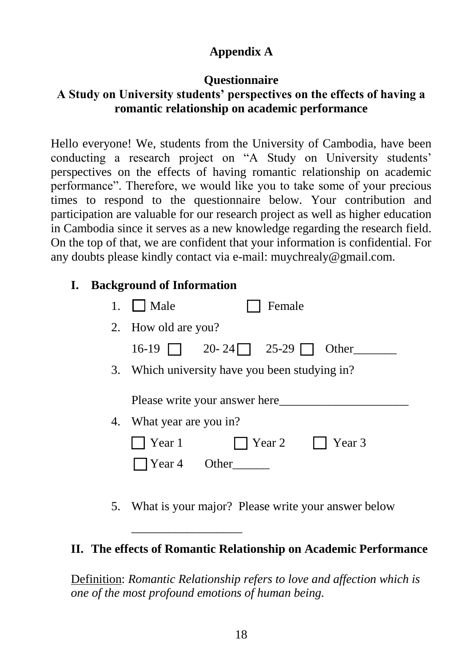# **Appendix A**

## **Questionnaire A Study on University students' perspectives on the effects of having a romantic relationship on academic performance**

Hello everyone! We, students from the University of Cambodia, have been conducting a research project on "A Study on University students' perspectives on the effects of having romantic relationship on academic performance". Therefore, we would like you to take some of your precious times to respond to the questionnaire below. Your contribution and participation are valuable for our research project as well as higher education in Cambodia since it serves as a new knowledge regarding the research field. On the top of that, we are confident that your information is confidential. For any doubts please kindly contact via e-mail: muychrealy@gmail.com.

# **I. Background of Information**

| Male                     | Female                                         |        |
|--------------------------|------------------------------------------------|--------|
| 2. How old are you?      |                                                |        |
| $16-19$ $\parallel$      | $20 - 24$ 25-29                                | Other  |
|                          | 3. Which university have you been studying in? |        |
|                          | Please write your answer here                  |        |
| 4. What year are you in? |                                                |        |
| Year 1                   | Year 2                                         | Year 3 |
| Year 4                   | <b>Other</b>                                   |        |

5. What is your major? Please write your answer below

# **II. The effects of Romantic Relationship on Academic Performance**

\_\_\_\_\_\_\_\_\_\_\_\_\_\_\_\_\_\_

Definition: *Romantic Relationship refers to love and affection which is one of the most profound emotions of human being.*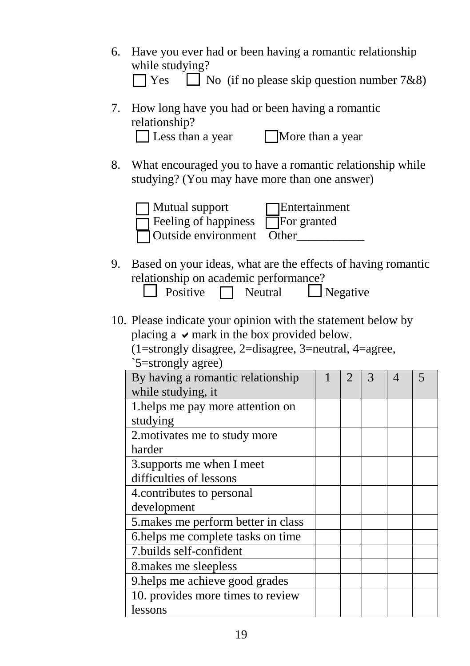- 6. Have you ever had or been having a romantic relationship while studying?  $\Box$  Yes  $\Box$  No (if no please skip question number 7&8)
- 7. How long have you had or been having a romantic relationship? □ Less than a year Ⅱ More than a year
- 8. What encouraged you to have a romantic relationship while studying? (You may have more than one answer)



- 9. Based on your ideas, what are the effects of having romantic relationship on academic performance?
	- $\Box$  Positive  $\Box$  Neutral  $\Box$  Negative
- 10. Please indicate your opinion with the statement below by placing a  $\vee$  mark in the box provided below.
	- (1=strongly disagree, 2=disagree, 3=neutral, 4=agree,

| `5=strongly agree) |  |
|--------------------|--|
|                    |  |

| By having a romantic relationship   |  | 3 | 4 |  |
|-------------------------------------|--|---|---|--|
| while studying, it                  |  |   |   |  |
| 1.helps me pay more attention on    |  |   |   |  |
| studying                            |  |   |   |  |
| 2. motivates me to study more       |  |   |   |  |
| harder                              |  |   |   |  |
| 3. supports me when I meet          |  |   |   |  |
| difficulties of lessons             |  |   |   |  |
| 4. contributes to personal          |  |   |   |  |
| development                         |  |   |   |  |
| 5. makes me perform better in class |  |   |   |  |
| 6.helps me complete tasks on time   |  |   |   |  |
| 7.builds self-confident             |  |   |   |  |
| 8. makes me sleepless               |  |   |   |  |
| 9. helps me achieve good grades     |  |   |   |  |
| 10. provides more times to review   |  |   |   |  |
| lessons                             |  |   |   |  |